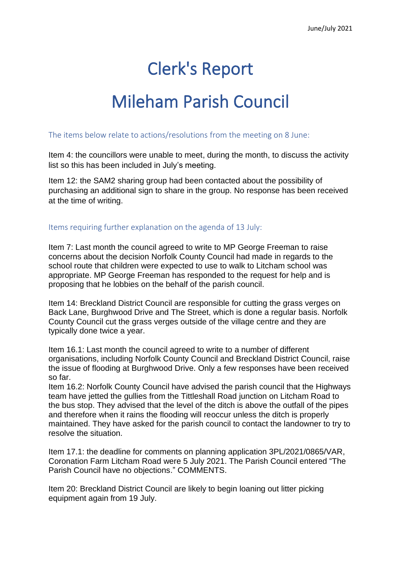# Clerk's Report

# Mileham Parish Council

## The items below relate to actions/resolutions from the meeting on 8 June:

Item 4: the councillors were unable to meet, during the month, to discuss the activity list so this has been included in July's meeting.

Item 12: the SAM2 sharing group had been contacted about the possibility of purchasing an additional sign to share in the group. No response has been received at the time of writing.

### Items requiring further explanation on the agenda of 13 July:

Item 7: Last month the council agreed to write to MP George Freeman to raise concerns about the decision Norfolk County Council had made in regards to the school route that children were expected to use to walk to Litcham school was appropriate. MP George Freeman has responded to the request for help and is proposing that he lobbies on the behalf of the parish council.

Item 14: Breckland District Council are responsible for cutting the grass verges on Back Lane, Burghwood Drive and The Street, which is done a regular basis. Norfolk County Council cut the grass verges outside of the village centre and they are typically done twice a year.

Item 16.1: Last month the council agreed to write to a number of different organisations, including Norfolk County Council and Breckland District Council, raise the issue of flooding at Burghwood Drive. Only a few responses have been received so far.

Item 16.2: Norfolk County Council have advised the parish council that the Highways team have jetted the gullies from the Tittleshall Road junction on Litcham Road to the bus stop. They advised that the level of the ditch is above the outfall of the pipes and therefore when it rains the flooding will reoccur unless the ditch is properly maintained. They have asked for the parish council to contact the landowner to try to resolve the situation.

Item 17.1: the deadline for comments on planning application 3PL/2021/0865/VAR, Coronation Farm Litcham Road were 5 July 2021. The Parish Council entered "The Parish Council have no objections." COMMENTS.

Item 20: Breckland District Council are likely to begin loaning out litter picking equipment again from 19 July.